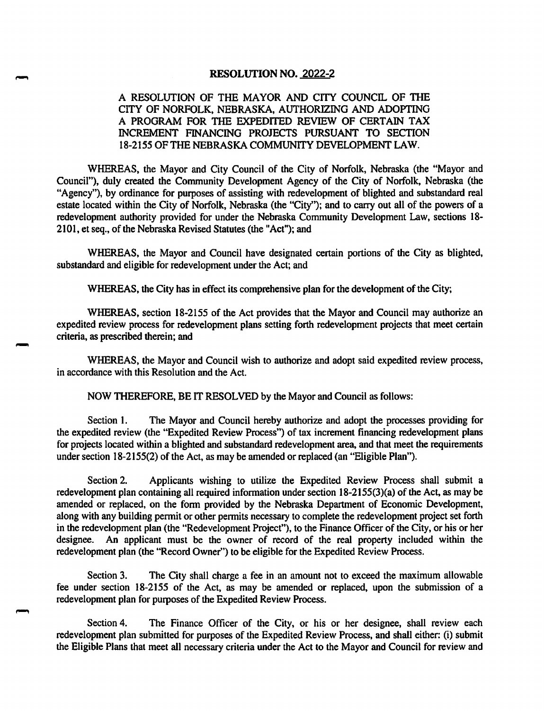#### RESOLUTION NO. 2022-2

### A RESOLUTION OF THE MAYOR AND CITY COUNCIL OF THE CITY OF NORFOLK, NEBRASKA, AUTHORIZING AND ADOPTING A PROGRAM FOR THE EXPEDITED REVIEW OF CERTAIN TAX INCREMENT FINANCING PROJECTS PURSUANT TO SECTION 18-2155 OF THE NEBRASKA COMMUNITY DEVELOPMENT LAW.

WHEREAS, the Mayor and City Council of the City of Norfolk, Nebraska (the "Mayor and Council"), duly created the Community Development Agency of the City of Norfolk, Nebraska (the "Agency"), by ordinance for purposes of assisting with redevelopment of blighted and substandard real estate located within the City of Norfolk, Nebraska (the "City"); and to carry out all of the powers of a redevelopment authority provided for under the Nebraska Community Development Law, sections 18- 2101, et seq., of the Nebraska Revised Statutes (the "Act"); and

WHEREAS, the Mayor and Council have designated certain portions of the City as blighted, substandard and eligible for redevelopment under the Act; and

WHEREAS, the City has in effect its comprehensive plan for the development of the City;

WHEREAS, section 18-2155 of the Act provides that the Mayor and Council may authorize an expedited review process for redevelopment plans setting forth redevelopment projects that meet certain criteria, as prescribed therein; and

WHEREAS, the Mayor and Council wish to authorize and adopt said expedited review process, in accordance with this Resolution and the Act.

NOW THEREFORE, BE IT RESOLVED by the Mayor and Council as follows:

Section 1. The Mayor and Council hereby authorize and adopt the processes providing for the expedited review (the "Expedited Review Process") of tax increment financing redevelopment plans for projects located within a blighted and substandard redevelopment area, and that meet the requirements under section 18-2155(2) of the Act, as may be amended or replaced (an "Eligible Flan").

Section 2. Applicants wishing to utilize the Expedited Review Process shall submit a redevelopment plan containing all required information under section 18-2155(3)(a) of the Act, as may be amended or replaced, on the form provided by the Nebraska Department of Economic Development, along with any building permit or other permits necessary to complete the redevelopment project set forth in the redevelopment plan (the "Redevelopment Project"), to the Finance Officer of the City, or his or her designee. An applicant must be the owner of record of the real property included within the redevelopment plan (the "Record Owner") to be eligible for the Expedited Review Process.

Section 3. The City shall charge a fee in an amount not to exceed the maximum allowable fee under section 18-2155 of the Act, as may be amended or replaced, upon the submission of a redevelopment plan for purposes of the Expedited Review Process.

Section 4. The Finance Officer of the City, or his or her designee, shall review each redevelopment plan submitted for purposes of the Expedited Review Process, and shall either: (i) submit the Eligible Plans that meet all necessary criteria under the Act to the Mayor and Council for review and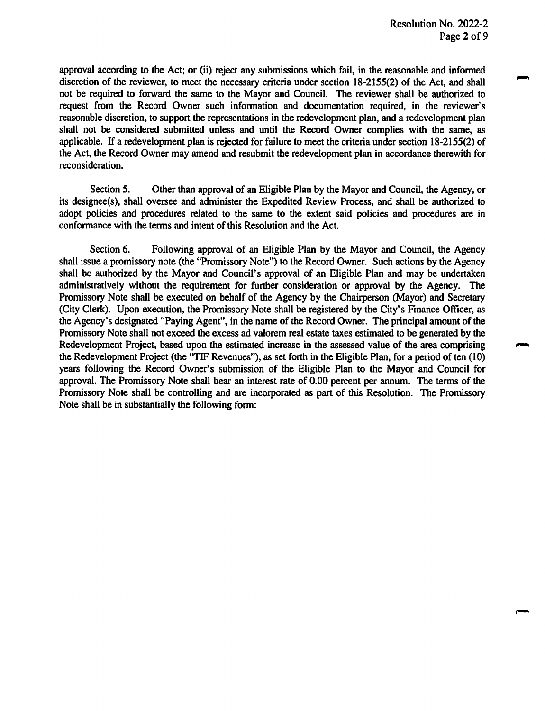approval according to the Act; or (ii) reject any submissions which fail, in the reasonable and informed discretion of the reviewer, to meet the necessary criteria under section 18-2155(2) of the Act, and shall not be required to forward the same to the Mayor and Council. The reviewer shall be authorized to request from the Record Owner such information and documentation required, in the reviewer's reasonable discretion, to support the representations in the redevelopment plan, and a redevelopment plan shall not be considered submitted unless and until the Record Owner complies with the same, as applicable. If a redevelopment plan is rejected for failure to meet the criteria under section 18-2155(2) of the Act, the Record Owner may amend and resubmit the redevelopment plan in accordance therewith for reconsideration.

Section 5. Other than approval of an Eligible Plan by the Mayor and Council, the Agency, or its designee(s), shall oversee and administer the Expedited Review Process, and shall be authorized to adopt policies and procedures related to the same to the extent said policies and procedures are in conformance with the terms and intent of this Resolution and the Act.

Section 6. Following approval of an Eligible Plan by the Mayor and Council, the Agency shall issue a promissory note (the "Promissory Note") to the Record Owner. Such actions by the Agency shall be authorized by the Mayor and Council's approval of an Eligible Plan and may be undertaken administratively without the requirement for further consideration or approval by the Agency. The Promissory Note shall be executed on behalf of the Agency by the Chairperson (Mayor) and Secretary (City Clerk). Upon execution, the Promissory Note shall be registered by the City's Finance Officer, as the Agency's designated "Paying Agent", in the name of the Record Owner. The principal amount of the Promissory Note shall not exceed the excess ad valorem real estate taxes estimated to be generated by the Redevelopment Project, based upon the estimated increase in the assessed value of the area comprising the Redevelopment Project (the "TIF Revenues"), as set forth in the Eligible Plan, for a period of ten (10) years following the Record Owner's submission of the Eligible Plan to the Mayor and Council for approval. The Promissory Note shall bear an interest rate of 0.00 percent per annum. The terms of the Promissory Note shall be controlling and are incorporated as part of this Resolution. The Promissory Note shall be in substantially the following form: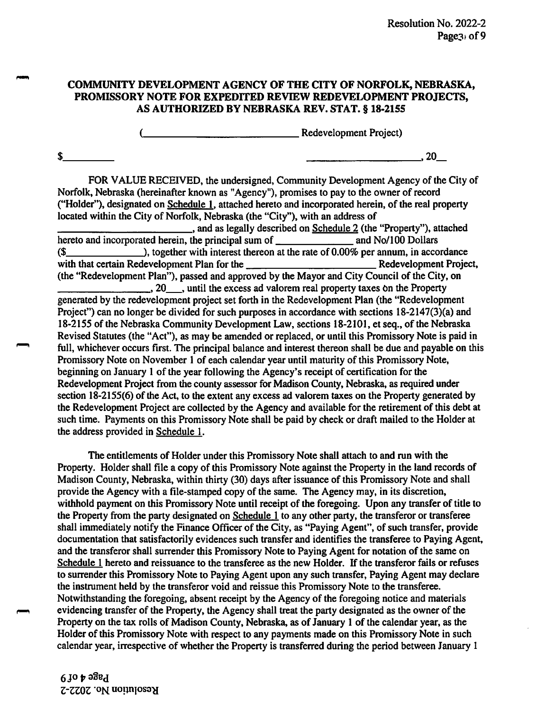## COMMUNITY DEVELOPMENT AGENCY OF THE CITY OF NORFOLK, NEBRASKA, PROMISSORY NOTE FOR EXPEDITED REVIEW REDEVELOPMENT PROJECTS, AS AUTHORIZED BY NEBRASKA REV. STAT. § 18-2155

**Example 2014** Redevelopment Project)

 $\sim$  3.20  $\sim$ 

FOR VALUE RECEIVED, the undersigned, Community Development Agency of the City of Norfolk, Nebraska (hereinafter known as "Agency"), promises to pay to the owner of record ("Holder"), designated on Schedule 1, attached hereto and incorporated herein, of the real property located within the City of Norfolk, Nebraska (the "City"), with an address of

%, and as legally described on Schedule 2 (the "Property"), attached<br>the principal sum of and No/100 Dollars hereto and incorporated herein, the principal sum of \_  $($$  ), together with interest thereon at the rate of 0.00% per annum, in accordance with that certain Redevelopment Plan for the Redevelopment Project, (the "Redevelopment Plan"), passed and approved by the Mayor and City Council of the City, on  $\Box$ , 20  $\Box$ , until the excess ad valorem real property taxes on the Property generated by the redevelopment project set forth in the Redevelopment Plan (the "Redevelopment Project") can no longer be divided for such purposes in accordance with sections  $18-2147(3)(a)$  and 18-2155 of the Nebraska Community Development Law, sections 18-2101, et seq., of the Nebraska Revised Statutes (the "Act"), as may be amended or replaced, or until this Promissory Note is paid in full, whichever occurs first. The principal balance and interest thereon shall be due and payable on this Promissory Note on November 1 of each calendar year until maturity of this Promissory Note, beginning on January 1 of the year following the Agency's receipt of certification for the Redevelopment Project from the county assessor for Madison County, Nebraska, as required under section 18-2155(6) of the Act, to the extent any excess ad valorem taxes on the Property generated by the Redevelopment Project are collected by the Agency and available for the retirement of this debt at such time. Payments on this Promissory Note shall be paid by check or draft mailed to the Holder at the address provided in Schedule 1.

The entitlements of Holder under this Promissory Note shall attach to and run with the Property. Holder shall file a copy of this Promissory Note against the Property in the land records of Madison County, Nebraska, within thirty (30) days after issuance of this Promissory Note and shall provide the Agency with a file-stamped copy of the same. The Agency may, in its discretion, withhold payment on this Promissory Note until receipt of the foregoing. Upon any transfer of title to the Property from the party designated on Schedule 1 to any other party, the transferor or transferee shall immediately notify the Finance Officer of the City, as "Paying Agent", of such transfer, provide documentation that satisfactorily evidences such transfer and identifies the transferee to Paying Agent, and the transferor shall surrender this Promissory Note to Paying Agent for notation of the same on Schedule 1 hereto and reissuance to the transferee as the new Holder. If the transferor fails or refuses to surrender this Promissory Note to Paying Agent upon any such transfer. Paying Agent may declare the instrument held by the transferor void and reissue this Promissory Note to the transferee. Notwithstanding the foregoing, absent receipt by the Agency of the foregoing notice and materials evidencing transfer of the Property, the Agency shall treat the party designated as the owner of the Property on the tax rolls of Madison County, Nebraska, as of January 1 of the calendar year, as the Holder of this Promissory Note with respect to any payments made on this Promissory Note in such calendar year, irrespective of whether the Property is transferred during the period between January 1

 $6$ jo $\phi$ ə $3$ e $\overline{d}$ Z-ZZQZ ON uoijnioso^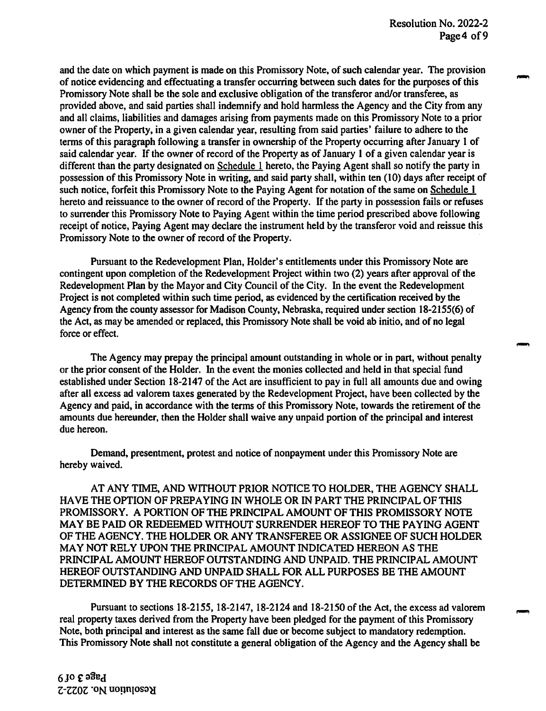and the date on which payment is made on this Promissory Note, of such calendar year. The provision of notice evidencing and effectuating a transfer occurring between such dates for the purposes of this Promissory Note shall be the sole and exclusive obligation of the transferor and/or transferee, as provided above, and said parties shall indemnify and hold harmless the Agency and the City from any and all claims, liabilities and damages arising from payments made on this Promissory Note to a prior owner of the Property, in a given calendar year, resulting from said parties' failure to adhere to the terms of this paragraph following a transfer in ownership of the Property occurring after January 1 of said calendar year. If the owner of record of the Property as of January 1 of a given calendar year is different than the party designated on Schedule 1 hereto, the Paying Agent shall so notify the party in possession of this Promissory Note in writing, and said party shall, within ten (10) days after receipt of such notice, forfeit this Promissory Note to the Paying Agent for notation of the same on Schedule 1 hereto and reissuance to the owner of record of the Property. If the party in possession fails or refuses to surrender this Promissory Note to Paying Agent within the time period prescribed above following receipt of notice. Paying Agent may declare the instrument held by the transferor void and reissue this Promissory Note to the owner of record of the Property.

Pursuant to the Redevelopment Plan, Holder's entitlements under this Promissory Note are contingent upon completion of the Redevelopment Project within two (2) years after approval of the Redevelopment Plan by the Mayor and City Council of the City. In the event the Redevelopment Project is not completed within such time period, as evidenced by the certification received by the Agency from the county assessor for Madison County, Nebraska, required under section 18-2155(6) of the Act, as may be amended or replaced, this Promissory Note shall be void ab initio, and of no legal force or effect.

The Agency may prepay the principal amount outstanding in whole or in part, without penalty or the prior consent of the Holder. In the event the monies collected and held in that special fund established under Section 18-2147 of the Act are insufficient to pay in full all amounts due and owing after all excess ad valorem taxes generated by the Redevelopment Project, have been collected by the Agency and paid, in accordance with the terms of this Promissory Note, towards the retirement of the amounts due hereunder, then the Holder shall waive any unpaid portion of the principal and interest due hereon.

Demand, presentment, protest and notice of nonpayment under this Promissory Note are hereby waived.

AT ANY TIME, AND WITHOUT PRIOR NOTICE TO HOLDER, THE AGENCY SHALL HAVE THE OPTION OF PREPAYING IN WHOLE OR IN PART THE PRINCIPAL OF THIS PROMISSORY. A PORTION OF THE PRINCIPAL AMOUNT OF THIS PROMISSORY NOTE MAY BE PAID OR REDEEMED WITHOUT SURRENDER HEREOF TO THE PAYING AGENT OF THE AGENCY. THE HOLDER OR ANY TRANSFEREE OR ASSIGNEE OF SUCH HOLDER MAY NOT RELY UPON THE PRINCIPAL AMOUNT INDICATED HEREON AS THE PRINCIPAL AMOUNT HEREOF OUTSTANDING AND UNPAID. THE PRINCIPAL AMOUNT HEREOF OUTSTANDING AND UNPAID SHALL FOR ALL PURPOSES BE THE AMOUNT DETERMINED BY THE RECORDS OF THE AGENCY.

Pursuant to sections 18-2155,18-2147, 18-2124 and 18-2150 of the Act, the excess ad valorem real property taxes derived from the Property have been pledged for the payment of this Promissory Note, both principal and interest as the same fall due or become subject to mandatory redemption. This Promissory Note shall not constitute a general obligation of the Agency and the Agency shall be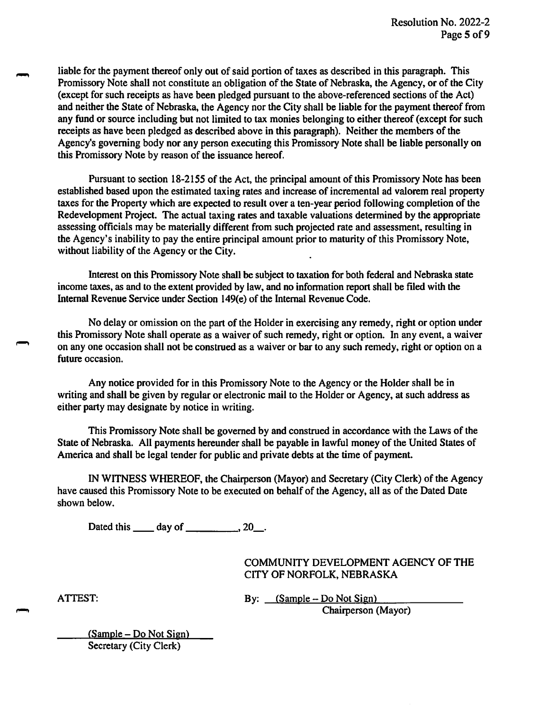liable for the payment thereof only out of said portion of taxes as described in this paragraph. This Promissory Note shall not constitute an obligation of the State of Nebraska, the Agency, or of the City (except for such receipts as have been pledged pursuant to the above-referenced sections of the Act) and neither the State of Nebraska, the Agency nor the City shall be liable for the payment thereof from any fund or source including but not limited to tax monies belonging to either thereof (except for such receipts as have been pledged as described above in this paragraph). Neither the members of the Agency's governing body nor any person executing this Promissory Note shall be liable personally on this Promissory Note by reason of the issuance hereof.

Pursuant to section 18-2155 of the Act, the principal amount of this Promissory Note has been established based upon the estimated taxing rates and increase of incremental ad valorem real property taxes for the Property which are expected to result over a ten-year period following completion of the Redevelopment Project. The actual taxing rates and taxable valuations determined by the appropriate assessing officials may be materially different from such projected rate and assessment, resulting in the Agency's inability to pay the entire principal amount prior to maturity of this Promissory Note, without liability of the Agency or the City.

Interest on this Promissory Note shall be subject to taxation for both federal and Nebraska state income taxes, as and to the extent provided by law, and no information report shall be filed with the Internal Revenue Service under Section 149(e) of the Internal Revenue Code.

No delay or omission on the part of the Holder in exercising any remedy, right or option under this Promissory Note shall operate as a waiver of such remedy, right or option. In any event, a waiver on any one occasion shall not be construed as a waiver or bar to any such remedy, right or option on a future occasion.

Any notice provided for in this Promissory Note to the Agency or the Holder shall be in writing and shall be given by regular or electronic mail to the Holder or Agency, at such address as either party may designate by notice in writing.

This Promissory Note shall be governed by and construed in accordance with the Laws of the State of Nebraska. All payments hereunder shall be payable in lawful money of the United States of America and shall be legal tender for public and private debts at the time of payment.

IN WITNESS WHEREOF, the Chairperson (Mayor) and Secretary (City Clerk) of the Agency have caused this Promissory Note to be executed on behalf of the Agency, all as of the Dated Date shown below.

Dated this  $\_\_\_$  day of  $\_\_\_\_\_$ , 20  $\_\_\_\$ .

COMMUNITY DEVELOPMENT AGENCY OF THE CITY OF NORFOLK, NEBRASKA

ATTEST: By: <u>(Sample – Do Not Sign)</u> Chairperson (Mayor)

 $(Sample - Do Not Sign)$ Secretary (City Clerk)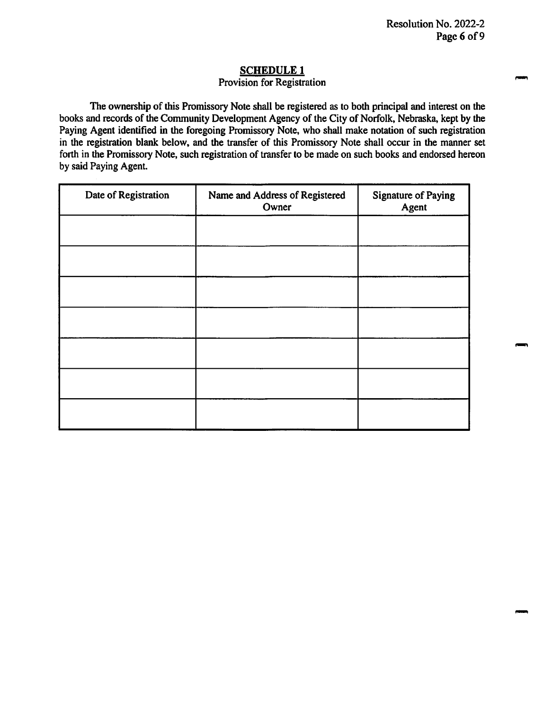# SCHEDULE 1

#### Provision for Registration

The ownership of this Promissory Note shall be registered as to both principal and interest on the books and records of the Community Development Agency of the City of Norfolk, Nebraska, kept by the Paying Agent identified in the foregoing Promissory Note, who shall make notation of such registration in the registration blank below, and the transfer of this Promissory Note shall occur in the manner set forth in the Promissory Note, such registration of transfer to be made on such books and endorsed hereon by said Paying Agent.

| Date of Registration | Name and Address of Registered<br>Owner | <b>Signature of Paying</b><br>Agent |
|----------------------|-----------------------------------------|-------------------------------------|
|                      |                                         |                                     |
|                      |                                         |                                     |
|                      |                                         |                                     |
|                      |                                         |                                     |
|                      |                                         |                                     |
|                      |                                         |                                     |
|                      |                                         |                                     |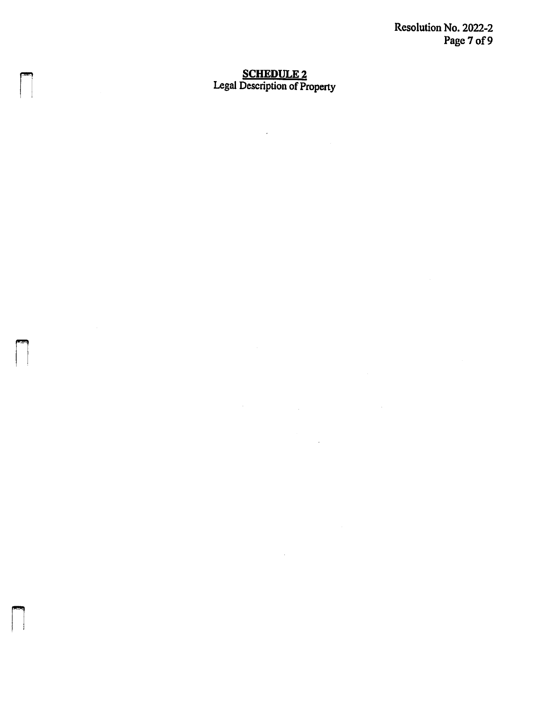Resolution No. 2022-2 Page 7 of 9

# SCHEDULE 2<br>Legal Description of Property

 $\mathcal{L}^{\mathcal{L}}$ 

 $\label{eq:2.1} \frac{1}{2}\sum_{i=1}^n\frac{1}{2}\sum_{j=1}^n\frac{1}{2}\sum_{j=1}^n\frac{1}{2}\sum_{j=1}^n\frac{1}{2}\sum_{j=1}^n\frac{1}{2}\sum_{j=1}^n\frac{1}{2}\sum_{j=1}^n\frac{1}{2}\sum_{j=1}^n\frac{1}{2}\sum_{j=1}^n\frac{1}{2}\sum_{j=1}^n\frac{1}{2}\sum_{j=1}^n\frac{1}{2}\sum_{j=1}^n\frac{1}{2}\sum_{j=1}^n\frac{1}{2}\sum_{j=1}^n\$ 

 $\mathcal{A}^{\text{max}}_{\text{max}}$ 

 $\bar{\mathcal{A}}$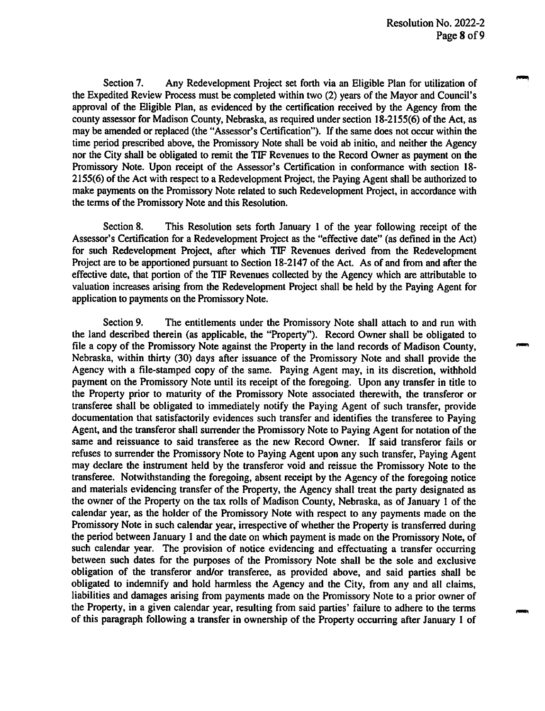Section 7. Any Redevelopment Project set forth via an Eligible Plan for utilization of the Expedited Review Process must be completed within two (2) years of the Mayor and Council's approval of the Eligible Plan, as evidenced by the certification received by the Agency fiom the county assessor for Madison County, Nebraska, as required under section 18-2155(6) of the Act, as may be amended or replaced (the "Assessor's Certification"). If the same does not occur within the time period prescribed above, the Promissory Note shall be void ab initio, and neither the Agency nor the City shall be obligated to remit the TIE Revenues to the Record Owner as payment on the Promissory Note. Upon receipt of the Assessor's Certification in conformance with section 18- 2155(6) of the Act with respect to a Redevelopment Project, the Paying Agent shall be authorized to make payments on the Promissory Note related to such Redevelopment Project, in accordance with the terms of the Promissory Note and this Resolution.

Section 8. This Resolution sets forth January 1 of the year following receipt of the Assessor's Certification for a Redevelopment Project as the "effective date" (as defined in the Act) for such Redevelopment Project, after which TIE Revenues derived fiom the Redevelopment Project are to be apportioned pursuant to Section 18-2147 of the Act. As of and from and after the effective date, that portion of the TIE Revenues collected by the Agency which are attributable to valuation increases arising from the Redevelopment Project shall be held by the Paying Agent for application to payments on the Promissory Note.

Section 9. The entitlements under the Promissory Note shall attach to and run with the land described therein (as applicable, the "Property"). Record Owner shall be obligated to file a copy of the Promissory Note against the Property in the land records of Madison County, Nebraska, within thirty (30) days after issuance of the Promissory Note and shall provide the Agency with a file-stamped copy of the same. Paying Agent may, in its discretion, withhold payment on the Promissory Note until its receipt of the foregoing. Upon any transfer in title to the Property prior to maturity of the Promissory Note associated therewith, the transferor or transferee shall be obligated to immediately notify the Paying Agent of such transfer, provide documentation that satisfactorily evidences such transfer and identifies the transferee to Paying Agent, and the transferor shall surrender the Promissory Note to Paying Agent for notation of the same and reissuance to said transferee as the new Record Owner. If said transferor fails or refuses to surrender the Promissory Note to Paying Agent upon any such transfer. Paying Agent may declare the instrument held by the transferor void and reissue the Promissory Note to the transferee. Notwithstanding the foregoing, absent receipt by the Agency of the foregoing notice and materials evidencing transfer of the Property, the Agency shall treat the party designated as the owner of the Property on the tax rolls of Madison County, Nebraska, as of January 1 of the calendar year, as the holder of the Promissory Note with respect to any payments made on the Promissory Note in such calendar year, irrespective of whether the Property is transferred during the period between January 1 and the date on which payment is made on the Promissory Note, of such calendar year. The provision of notice evidencing and effectuating a transfer occurring between such dates for the purposes of the Promissory Note shall be the sole and exclusive obligation of the transferor and/or transferee, as provided above, and said parties shall be obligated to indemnify and hold harmless the Agency and the City, from any and all claims, liabilities and damages arising from payments made on the Promissory Note to a prior owner of the Property, in a given calendar year, resulting from said parties' failure to adhere to the terms of this paragraph following a transfer in ownership of the Property occurring after January 1 of